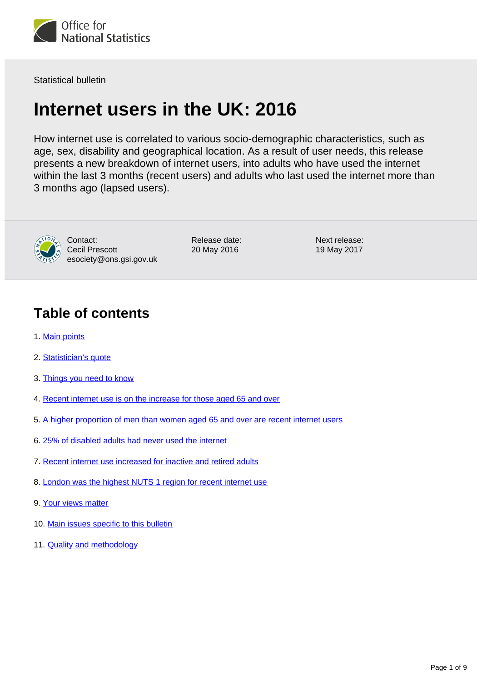

Statistical bulletin

# **Internet users in the UK: 2016**

How internet use is correlated to various socio-demographic characteristics, such as age, sex, disability and geographical location. As a result of user needs, this release presents a new breakdown of internet users, into adults who have used the internet within the last 3 months (recent users) and adults who last used the internet more than 3 months ago (lapsed users).



Contact: Cecil Prescott esociety@ons.gsi.gov.uk Release date: 20 May 2016

Next release: 19 May 2017

# **Table of contents**

- 1. [Main points](#page-1-0)
- 2. [Statistician's quote](#page-1-1)
- 3. [Things you need to know](#page-1-2)
- 4. [Recent internet use is on the increase for those aged 65 and over](#page-2-0)
- 5. [A higher proportion of men than women aged 65 and over are recent internet users](#page-3-0)
- 6. [25% of disabled adults had never used the internet](#page-5-0)
- 7. [Recent internet use increased for inactive and retired adults](#page-6-0)
- 8. [London was the highest NUTS 1 region for recent internet use](#page-6-1)
- 9. [Your views matter](#page-8-0)
- 10. [Main issues specific to this bulletin](#page-8-1)
- 11. **[Quality and methodology](#page-8-2)**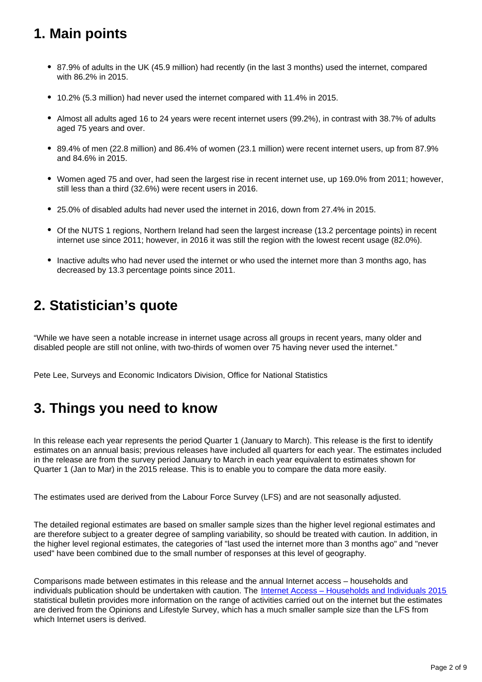# <span id="page-1-0"></span>**1. Main points**

- 87.9% of adults in the UK (45.9 million) had recently (in the last 3 months) used the internet, compared with 86.2% in 2015.
- 10.2% (5.3 million) had never used the internet compared with 11.4% in 2015.
- Almost all adults aged 16 to 24 years were recent internet users (99.2%), in contrast with 38.7% of adults aged 75 years and over.
- 89.4% of men (22.8 million) and 86.4% of women (23.1 million) were recent internet users, up from 87.9% and 84.6% in 2015.
- Women aged 75 and over, had seen the largest rise in recent internet use, up 169.0% from 2011; however, still less than a third (32.6%) were recent users in 2016.
- 25.0% of disabled adults had never used the internet in 2016, down from 27.4% in 2015.
- Of the NUTS 1 regions, Northern Ireland had seen the largest increase (13.2 percentage points) in recent internet use since 2011; however, in 2016 it was still the region with the lowest recent usage (82.0%).
- Inactive adults who had never used the internet or who used the internet more than 3 months ago, has decreased by 13.3 percentage points since 2011.

# <span id="page-1-1"></span>**2. Statistician's quote**

"While we have seen a notable increase in internet usage across all groups in recent years, many older and disabled people are still not online, with two-thirds of women over 75 having never used the internet."

Pete Lee, Surveys and Economic Indicators Division, Office for National Statistics

# <span id="page-1-2"></span>**3. Things you need to know**

In this release each year represents the period Quarter 1 (January to March). This release is the first to identify estimates on an annual basis; previous releases have included all quarters for each year. The estimates included in the release are from the survey period January to March in each year equivalent to estimates shown for Quarter 1 (Jan to Mar) in the 2015 release. This is to enable you to compare the data more easily.

The estimates used are derived from the Labour Force Survey (LFS) and are not seasonally adjusted.

The detailed regional estimates are based on smaller sample sizes than the higher level regional estimates and are therefore subject to a greater degree of sampling variability, so should be treated with caution. In addition, in the higher level regional estimates, the categories of "last used the internet more than 3 months ago" and "never used" have been combined due to the small number of responses at this level of geography.

Comparisons made between estimates in this release and the annual Internet access – households and individuals publication should be undertaken with caution. The [Internet Access – Households and Individuals 2015](https://www.ons.gov.uk/peoplepopulationandcommunity/householdcharacteristics/homeinternetandsocialmediausage/bulletins/internetaccesshouseholdsandindividuals/2015-08-06) statistical bulletin provides more information on the range of activities carried out on the internet but the estimates are derived from the Opinions and Lifestyle Survey, which has a much smaller sample size than the LFS from which Internet users is derived.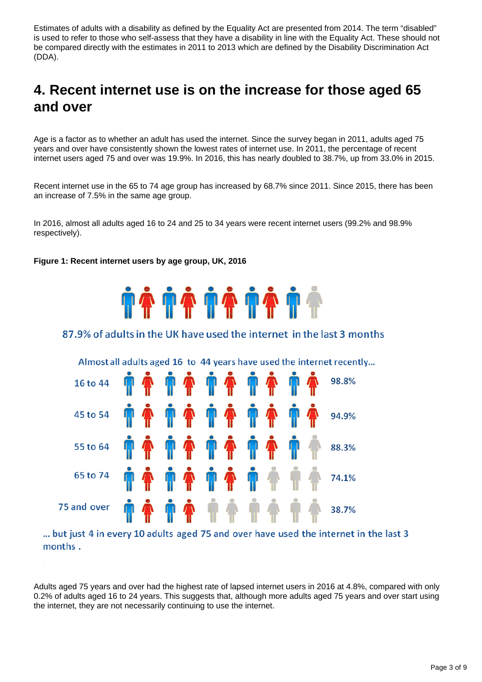Estimates of adults with a disability as defined by the Equality Act are presented from 2014. The term "disabled" is used to refer to those who self-assess that they have a disability in line with the Equality Act. These should not be compared directly with the estimates in 2011 to 2013 which are defined by the Disability Discrimination Act (DDA).

# <span id="page-2-0"></span>**4. Recent internet use is on the increase for those aged 65 and over**

Age is a factor as to whether an adult has used the internet. Since the survey began in 2011, adults aged 75 years and over have consistently shown the lowest rates of internet use. In 2011, the percentage of recent internet users aged 75 and over was 19.9%. In 2016, this has nearly doubled to 38.7%, up from 33.0% in 2015.

Recent internet use in the 65 to 74 age group has increased by 68.7% since 2011. Since 2015, there has been an increase of 7.5% in the same age group.

In 2016, almost all adults aged 16 to 24 and 25 to 34 years were recent internet users (99.2% and 98.9% respectively).

#### **Figure 1: Recent internet users by age group, UK, 2016**



#### 87.9% of adults in the UK have used the internet in the last 3 months



... but just 4 in every 10 adults aged 75 and over have used the internet in the last 3 months.

Adults aged 75 years and over had the highest rate of lapsed internet users in 2016 at 4.8%, compared with only 0.2% of adults aged 16 to 24 years. This suggests that, although more adults aged 75 years and over start using the internet, they are not necessarily continuing to use the internet.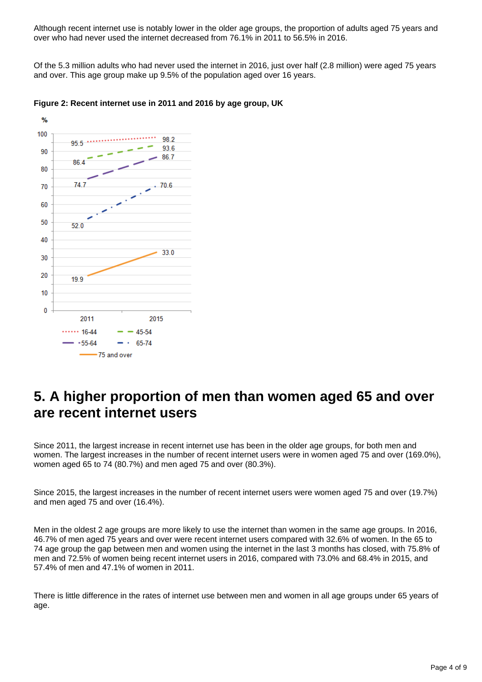Although recent internet use is notably lower in the older age groups, the proportion of adults aged 75 years and over who had never used the internet decreased from 76.1% in 2011 to 56.5% in 2016.

Of the 5.3 million adults who had never used the internet in 2016, just over half (2.8 million) were aged 75 years and over. This age group make up 9.5% of the population aged over 16 years.





# <span id="page-3-0"></span>**5. A higher proportion of men than women aged 65 and over are recent internet users**

Since 2011, the largest increase in recent internet use has been in the older age groups, for both men and women. The largest increases in the number of recent internet users were in women aged 75 and over (169.0%), women aged 65 to 74 (80.7%) and men aged 75 and over (80.3%).

Since 2015, the largest increases in the number of recent internet users were women aged 75 and over (19.7%) and men aged 75 and over (16.4%).

Men in the oldest 2 age groups are more likely to use the internet than women in the same age groups. In 2016, 46.7% of men aged 75 years and over were recent internet users compared with 32.6% of women. In the 65 to 74 age group the gap between men and women using the internet in the last 3 months has closed, with 75.8% of men and 72.5% of women being recent internet users in 2016, compared with 73.0% and 68.4% in 2015, and 57.4% of men and 47.1% of women in 2011.

There is little difference in the rates of internet use between men and women in all age groups under 65 years of age.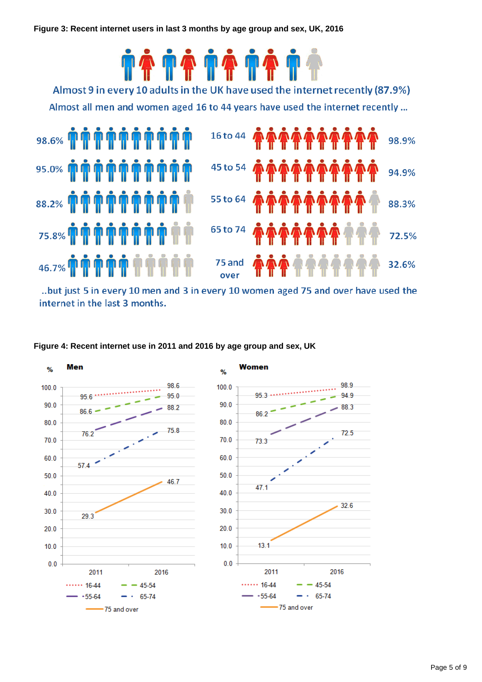

..but just 5 in every 10 men and 3 in every 10 women aged 75 and over have used the internet in the last 3 months.





Page 5 of 9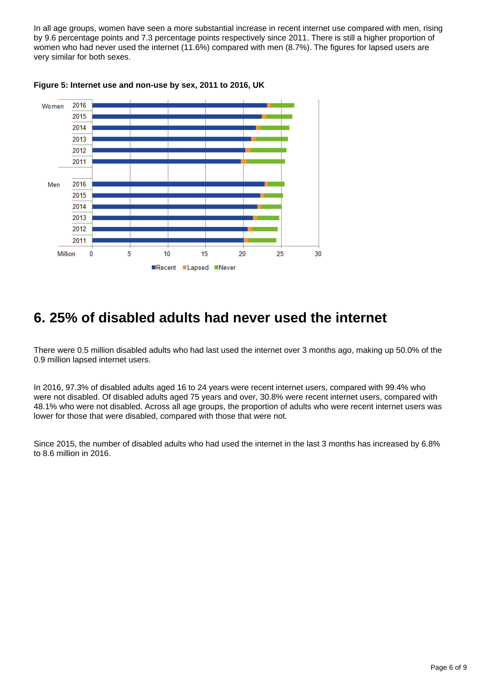In all age groups, women have seen a more substantial increase in recent internet use compared with men, rising by 9.6 percentage points and 7.3 percentage points respectively since 2011. There is still a higher proportion of women who had never used the internet (11.6%) compared with men (8.7%). The figures for lapsed users are very similar for both sexes.



#### **Figure 5: Internet use and non-use by sex, 2011 to 2016, UK**

## <span id="page-5-0"></span>**6. 25% of disabled adults had never used the internet**

There were 0.5 million disabled adults who had last used the internet over 3 months ago, making up 50.0% of the 0.9 million lapsed internet users.

In 2016, 97.3% of disabled adults aged 16 to 24 years were recent internet users, compared with 99.4% who were not disabled. Of disabled adults aged 75 years and over, 30.8% were recent internet users, compared with 48.1% who were not disabled. Across all age groups, the proportion of adults who were recent internet users was lower for those that were disabled, compared with those that were not.

Since 2015, the number of disabled adults who had used the internet in the last 3 months has increased by 6.8% to 8.6 million in 2016.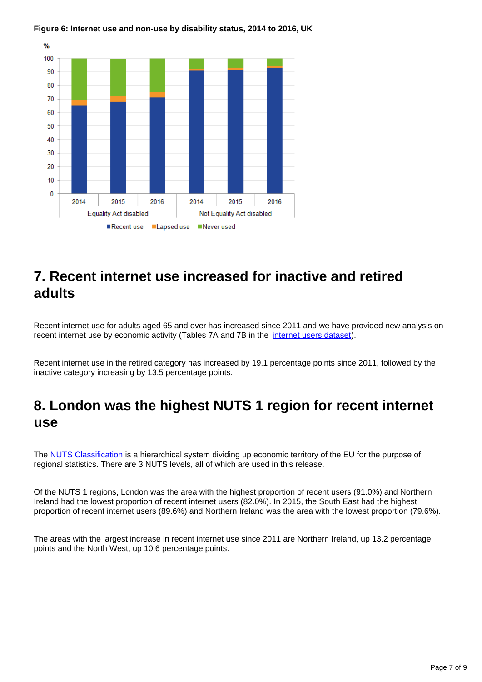#### **Figure 6: Internet use and non-use by disability status, 2014 to 2016, UK**



### <span id="page-6-0"></span>**7. Recent internet use increased for inactive and retired adults**

Recent internet use for adults aged 65 and over has increased since 2011 and we have provided new analysis on recent internet use by economic activity (Tables 7A and 7B in the *[internet users dataset\)](https://www.ons.gov.uk/businessindustryandtrade/itandinternetindustry/datasets/internetusers)*.

Recent internet use in the retired category has increased by 19.1 percentage points since 2011, followed by the inactive category increasing by 13.5 percentage points.

## <span id="page-6-1"></span>**8. London was the highest NUTS 1 region for recent internet use**

The [NUTS Classification](http://webarchive.nationalarchives.gov.uk/20160105160709/http:/www.ons.gov.uk/ons/guide-method/geography/beginner-s-guide/eurostat/index.html) is a hierarchical system dividing up economic territory of the EU for the purpose of regional statistics. There are 3 NUTS levels, all of which are used in this release.

Of the NUTS 1 regions, London was the area with the highest proportion of recent users (91.0%) and Northern Ireland had the lowest proportion of recent internet users (82.0%). In 2015, the South East had the highest proportion of recent internet users (89.6%) and Northern Ireland was the area with the lowest proportion (79.6%).

The areas with the largest increase in recent internet use since 2011 are Northern Ireland, up 13.2 percentage points and the North West, up 10.6 percentage points.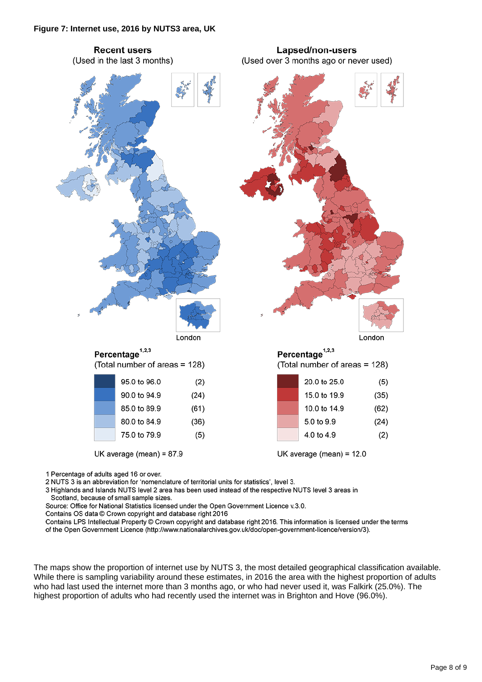

2 NUTS 3 is an abbreviation for 'nomenclature of territorial units for statistics', level 3.

3 Highlands and Islands NUTS level 2 area has been used instead of the respective NUTS level 3 areas in Scotland, because of small sample sizes.

Source: Office for National Statistics licensed under the Open Government Licence v.3.0.

Contains OS data @ Crown copyright and database right 2016

Contains LPS Intellectual Property © Crown copyright and database right 2016. This information is licensed under the terms of the Open Government Licence (http://www.nationalarchives.gov.uk/doc/open-government-licence/version/3).

The maps show the proportion of internet use by NUTS 3, the most detailed geographical classification available. While there is sampling variability around these estimates, in 2016 the area with the highest proportion of adults who had last used the internet more than 3 months ago, or who had never used it, was Falkirk (25.0%). The highest proportion of adults who had recently used the internet was in Brighton and Hove (96.0%).